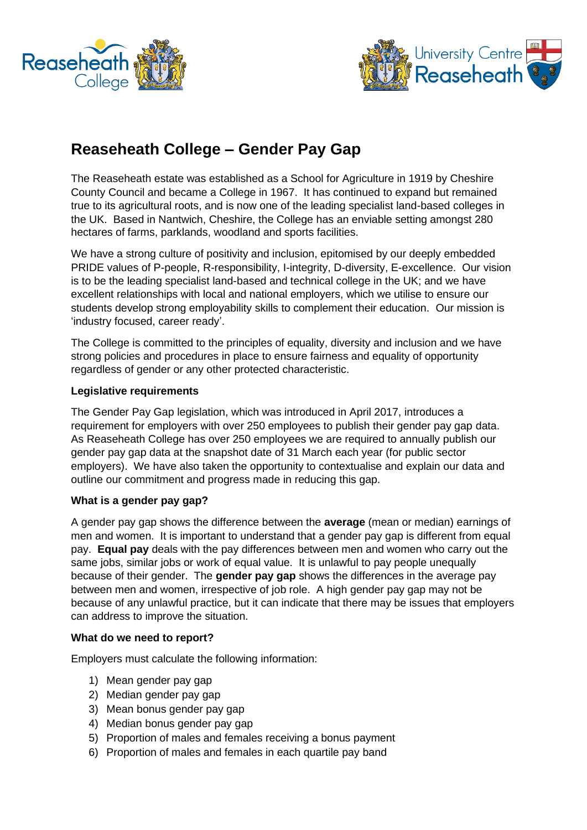



# **Reaseheath College – Gender Pay Gap**

The Reaseheath estate was established as a School for Agriculture in 1919 by Cheshire County Council and became a College in 1967. It has continued to expand but remained true to its agricultural roots, and is now one of the leading specialist land-based colleges in the UK. Based in Nantwich, Cheshire, the College has an enviable setting amongst 280 hectares of farms, parklands, woodland and sports facilities.

We have a strong culture of positivity and inclusion, epitomised by our deeply embedded PRIDE values of P-people, R-responsibility, I-integrity, D-diversity, E-excellence. Our vision is to be the leading specialist land-based and technical college in the UK; and we have excellent relationships with local and national employers, which we utilise to ensure our students develop strong employability skills to complement their education. Our mission is 'industry focused, career ready'.

The College is committed to the principles of equality, diversity and inclusion and we have strong policies and procedures in place to ensure fairness and equality of opportunity regardless of gender or any other protected characteristic.

## **Legislative requirements**

The Gender Pay Gap legislation, which was introduced in April 2017, introduces a requirement for employers with over 250 employees to publish their gender pay gap data. As Reaseheath College has over 250 employees we are required to annually publish our gender pay gap data at the snapshot date of 31 March each year (for public sector employers). We have also taken the opportunity to contextualise and explain our data and outline our commitment and progress made in reducing this gap.

# **What is a gender pay gap?**

A gender pay gap shows the difference between the **average** (mean or median) earnings of men and women. It is important to understand that a gender pay gap is different from equal pay. **Equal pay** deals with the pay differences between men and women who carry out the same jobs, similar jobs or work of equal value. It is unlawful to pay people unequally because of their gender. The **gender pay gap** shows the differences in the average pay between men and women, irrespective of job role. A high gender pay gap may not be because of any unlawful practice, but it can indicate that there may be issues that employers can address to improve the situation.

## **What do we need to report?**

Employers must calculate the following information:

- 1) Mean gender pay gap
- 2) Median gender pay gap
- 3) Mean bonus gender pay gap
- 4) Median bonus gender pay gap
- 5) Proportion of males and females receiving a bonus payment
- 6) Proportion of males and females in each quartile pay band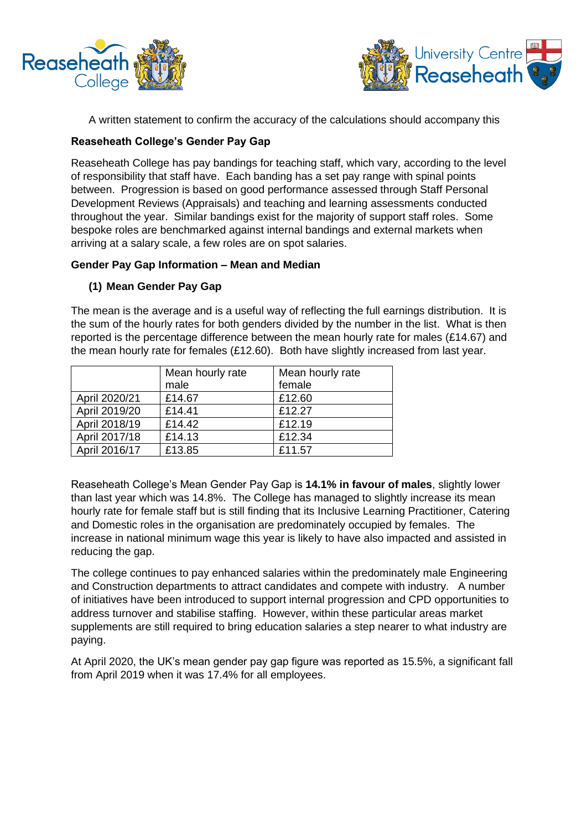



A written statement to confirm the accuracy of the calculations should accompany this

## **Reaseheath College's Gender Pay Gap**

Reaseheath College has pay bandings for teaching staff, which vary, according to the level of responsibility that staff have. Each banding has a set pay range with spinal points between. Progression is based on good performance assessed through Staff Personal Development Reviews (Appraisals) and teaching and learning assessments conducted throughout the year. Similar bandings exist for the majority of support staff roles. Some bespoke roles are benchmarked against internal bandings and external markets when arriving at a salary scale, a few roles are on spot salaries.

## **Gender Pay Gap Information – Mean and Median**

## **(1) Mean Gender Pay Gap**

The mean is the average and is a useful way of reflecting the full earnings distribution. It is the sum of the hourly rates for both genders divided by the number in the list. What is then reported is the percentage difference between the mean hourly rate for males (£14.67) and the mean hourly rate for females (£12.60). Both have slightly increased from last year.

|               | Mean hourly rate | Mean hourly rate |  |
|---------------|------------------|------------------|--|
|               | male             | female           |  |
| April 2020/21 | £14.67           | £12.60           |  |
| April 2019/20 | £14.41           | £12.27           |  |
| April 2018/19 | £14.42           | £12.19           |  |
| April 2017/18 | £14.13           | £12.34           |  |
| April 2016/17 | £13.85           | £11.57           |  |

Reaseheath College's Mean Gender Pay Gap is **14.1% in favour of males**, slightly lower than last year which was 14.8%. The College has managed to slightly increase its mean hourly rate for female staff but is still finding that its Inclusive Learning Practitioner, Catering and Domestic roles in the organisation are predominately occupied by females. The increase in national minimum wage this year is likely to have also impacted and assisted in reducing the gap.

The college continues to pay enhanced salaries within the predominately male Engineering and Construction departments to attract candidates and compete with industry. A number of initiatives have been introduced to support internal progression and CPD opportunities to address turnover and stabilise staffing. However, within these particular areas market supplements are still required to bring education salaries a step nearer to what industry are paying.

At April 2020, the UK's mean gender pay gap figure was reported as 15.5%, a significant fall from April 2019 when it was 17.4% for all employees.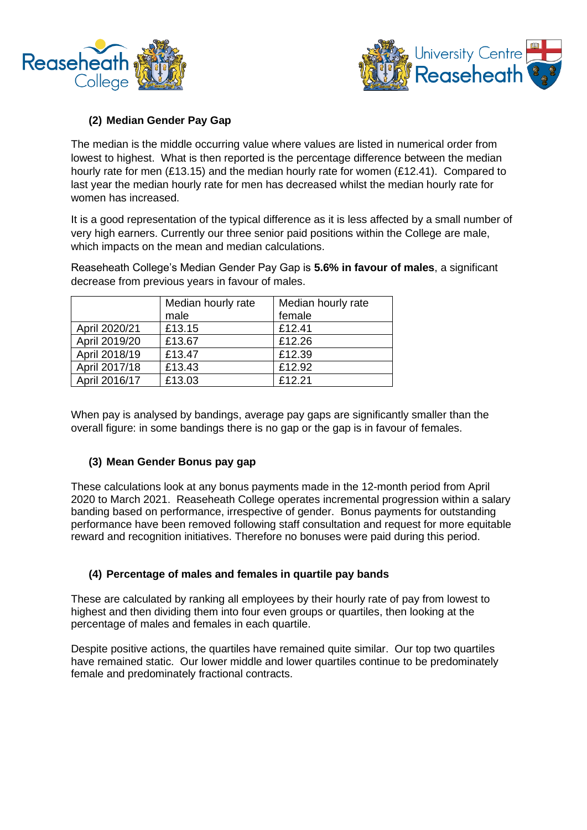



# **(2) Median Gender Pay Gap**

The median is the middle occurring value where values are listed in numerical order from lowest to highest. What is then reported is the percentage difference between the median hourly rate for men (£13.15) and the median hourly rate for women (£12.41). Compared to last year the median hourly rate for men has decreased whilst the median hourly rate for women has increased.

It is a good representation of the typical difference as it is less affected by a small number of very high earners. Currently our three senior paid positions within the College are male, which impacts on the mean and median calculations.

Reaseheath College's Median Gender Pay Gap is **5.6% in favour of males**, a significant decrease from previous years in favour of males.

|               | Median hourly rate | Median hourly rate |  |
|---------------|--------------------|--------------------|--|
|               | male               | female             |  |
| April 2020/21 | £13.15             | £12.41             |  |
| April 2019/20 | £13.67             | £12.26             |  |
| April 2018/19 | £13.47             | £12.39             |  |
| April 2017/18 | £13.43             | £12.92             |  |
| April 2016/17 | £13.03             | £12.21             |  |

When pay is analysed by bandings, average pay gaps are significantly smaller than the overall figure: in some bandings there is no gap or the gap is in favour of females.

# **(3) Mean Gender Bonus pay gap**

These calculations look at any bonus payments made in the 12-month period from April 2020 to March 2021. Reaseheath College operates incremental progression within a salary banding based on performance, irrespective of gender. Bonus payments for outstanding performance have been removed following staff consultation and request for more equitable reward and recognition initiatives. Therefore no bonuses were paid during this period.

# **(4) Percentage of males and females in quartile pay bands**

These are calculated by ranking all employees by their hourly rate of pay from lowest to highest and then dividing them into four even groups or quartiles, then looking at the percentage of males and females in each quartile.

Despite positive actions, the quartiles have remained quite similar. Our top two quartiles have remained static. Our lower middle and lower quartiles continue to be predominately female and predominately fractional contracts.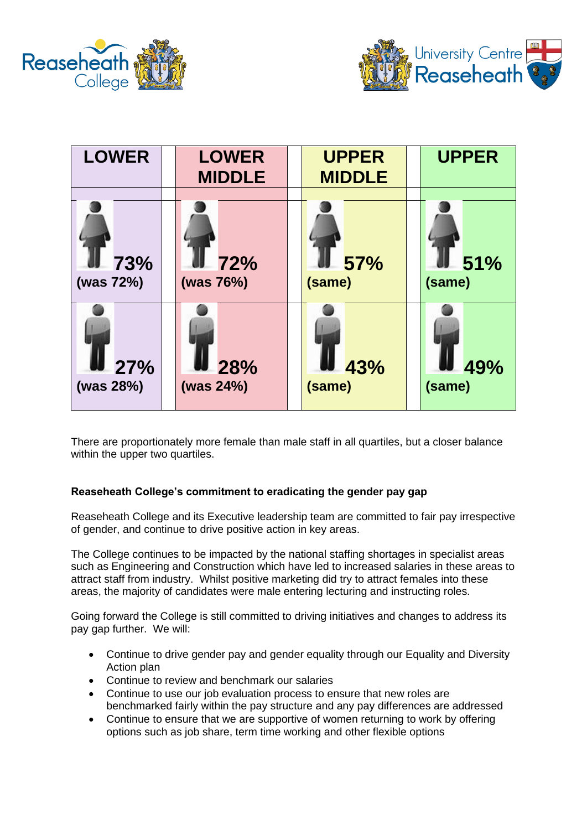



| <b>LOWER</b>     | <b>LOWER</b><br><b>MIDDLE</b> | <b>UPPER</b><br><b>MIDDLE</b> | <b>UPPER</b>  |
|------------------|-------------------------------|-------------------------------|---------------|
|                  |                               |                               |               |
| 73%<br>(was 72%) | 72%<br>(was 76%)              | <b>57%</b><br>(same)          | 51%<br>(same) |
| 27%              | 28%                           | 43%                           | 49%           |
| (was 28%)        | (was 24%)                     | (same)                        | (same)        |

There are proportionately more female than male staff in all quartiles, but a closer balance within the upper two quartiles.

## **Reaseheath College's commitment to eradicating the gender pay gap**

Reaseheath College and its Executive leadership team are committed to fair pay irrespective of gender, and continue to drive positive action in key areas.

The College continues to be impacted by the national staffing shortages in specialist areas such as Engineering and Construction which have led to increased salaries in these areas to attract staff from industry. Whilst positive marketing did try to attract females into these areas, the majority of candidates were male entering lecturing and instructing roles.

Going forward the College is still committed to driving initiatives and changes to address its pay gap further. We will:

- Continue to drive gender pay and gender equality through our Equality and Diversity Action plan
- Continue to review and benchmark our salaries
- Continue to use our job evaluation process to ensure that new roles are benchmarked fairly within the pay structure and any pay differences are addressed
- Continue to ensure that we are supportive of women returning to work by offering options such as job share, term time working and other flexible options